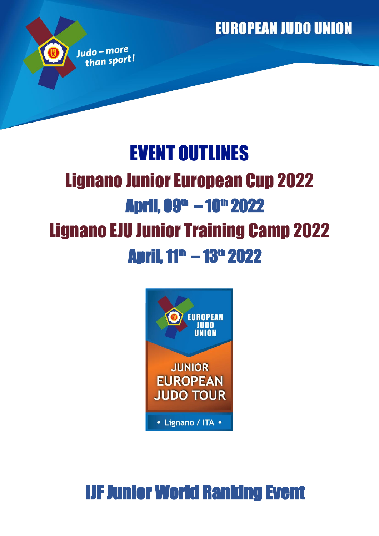**EUROPEAN JUDO UNION** 

# EVENT OUTLINES Lignano Junior European Cup 2022 April, 09<sup>th</sup> – 10<sup>th</sup> 2022 Lignano EJU Junior Training Camp 2022 **April, 11<sup>th</sup> - 13<sup>th</sup> 2022**

Judo-more than sport!



# IJF Junior World Ranking Event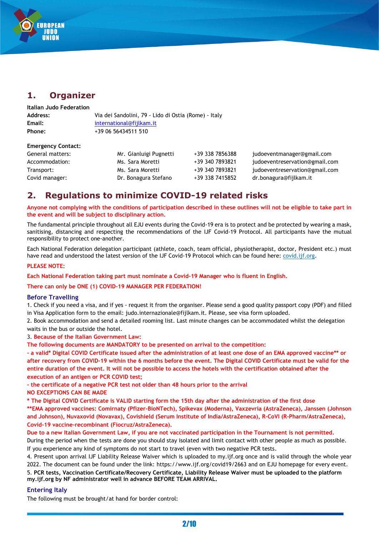

## **1. Organizer**

| Italian Judo Federation |                                                      |
|-------------------------|------------------------------------------------------|
| <b>Address:</b>         | Via dei Sandolini, 79 - Lido di Ostia (Rome) - Italy |
| Email:                  | international@fiilkam.it                             |
| Phone:                  | +39 06 56434511 510                                  |

#### **Emergency Contact:**

| General matters: | Mr. Gianluigi Pugnetti | +39 338 7856388 | judoeventmanager@gmail.com     |
|------------------|------------------------|-----------------|--------------------------------|
| Accommodation:   | Ms. Sara Moretti       | +39 340 7893821 | judoeventreservation@gmail.com |
| Transport:       | Ms. Sara Moretti       | +39 340 7893821 | judoeventreservation@gmail.com |
| Covid manager:   | Dr. Bonagura Stefano   | +39 338 7415852 | dr.bonagura@fijlkam.it         |

## **2. Regulations to minimize COVID-19 related risks**

**Anyone not complying with the conditions of participation described in these outlines will not be eligible to take part in the event and will be subject to disciplinary action.**

The fundamental principle throughout all EJU events during the Covid-19 era is to protect and be protected by wearing a mask, sanitising, distancing and respecting the recommendations of the IJF Covid-19 Protocol. All participants have the mutual responsibility to protect one-another.

Each National Federation delegation participant (athlete, coach, team official, physiotherapist, doctor, President etc.) must have read and understood the latest version of the IJF Covid-19 Protocol which can be found here: covid.ijf.org.

#### **PLEASE NOTE:**

**Each National Federation taking part must nominate a Covid-19 Manager who is fluent in English.**

#### **There can only be ONE (1) COVID-19 MANAGER PER FEDERATION!**

#### **Before Travelling**

1. Check if you need a visa, and if yes - request it from the organiser. Please send a good quality passport copy (PDF) and filled in Visa Application form to the email: judo.internazionale@fijlkam.it. Please, see visa form uploaded.

2. Book accommodation and send a detailed rooming list. Last minute changes can be accommodated whilst the delegation waits in the bus or outside the hotel.

3. **Because of the Italian Government Law:**

**The following documents are MANDATORY to be presented on arrival to the competition:**

**- a valid\* Digital COVID Certificate issued after the administration of at least one dose of an EMA approved vaccine\*\* or after recovery from COVID-19 within the 6 months before the event. The Digital COVID Certificate must be valid for the entire duration of the event. It will not be possible to access the hotels with the certification obtained after the execution of an antigen or PCR COVID test;**

**- the certificate of a negative PCR test not older than 48 hours prior to the arrival** 

**NO EXCEPTIONS CAN BE MADE**

**\* The Digital COVID Certificate is VALID starting form the 15th day after the administration of the first dose**

**\*\*EMA approved vaccines: Comirnaty (Pfizer-BioNTech), Spikevax (Moderna), Vaxzevria (AstraZeneca), Janssen (Johnson and Johnson), Nuvaxovid (Novavax), Covishield (Serum Institute of India/AstraZeneca), R-CoVI (R-Pharm/AstraZeneca), Covid-19 vaccine-recombinant (Fiocruz/AstraZeneca).**

**Due to a new Italian Government Law, if you are not vaccinated participation in the Tournament is not permitted.**

During the period when the tests are done you should stay isolated and limit contact with other people as much as possible. If you experience any kind of symptoms do not start to travel (even with two negative PCR tests.

4. Present upon arrival IJF Liability Release Waiver which is uploaded to my.ijf.org once and is valid through the whole year 2022. The document can be found under the link: https://www.ijf.org/covid19/2663 and on EJU homepage for every event. 5. **PCR tests, Vaccination Certificate/Recovery Certificate, Liability Release Waiver must be uploaded to the platform my.ijf.org by NF administrator well in advance BEFORE TEAM ARRIVAL.**

#### **Entering Italy**

The following must be brought/at hand for border control: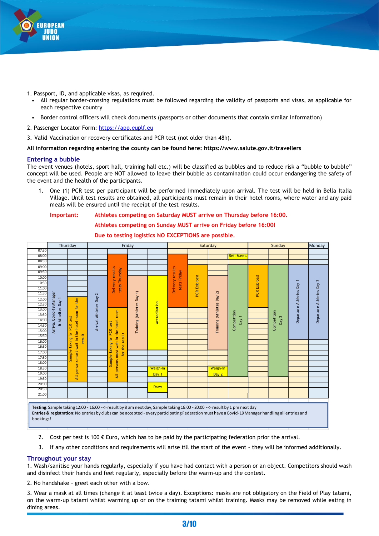

- 1. Passport, ID, and applicable visas, as required.
	- All regular border-crossing regulations must be followed regarding the validity of passports and visas, as applicable for each respective country
	- Border control officers will check documents (passports or other documents that contain similar information)
- 2. Passenger Locator Form: [https://app.euplf.eu](https://app.euplf.eu/)
- 3. Valid Vaccination or recovery certificates and PCR test (not older than 48h).

#### **All information regarding entering the county can be found here: https://www.salute.gov.it/travellers**

#### **Entering a bubble**

The event venues (hotels, sport hall, training hall etc.) will be classified as bubbles and to reduce risk a "bubble to bubble" concept will be used. People are NOT allowed to leave their bubble as contamination could occur endangering the safety of the event and the health of the participants.

1. One (1) PCR test per participant will be performed immediately upon arrival. The test will be held in Bella Italia Village. Until test results are obtained, all participants must remain in their hotel rooms, where water and any paid meals will be ensured until the receipt of the test results.

#### **Important: Athletes competing on Saturday MUST arrive on Thursday before 16:00.**

#### **Athletes competing on Sunday MUST arrive on Friday before 16:00!**

## **Due to testing logistics NO EXCEPTIONS are possible.**



**Entries & registration**: No entries by clubs can be accepted - every participating Federation must have a Covid-19 Manager handling all entries and bookings!

- 2. Cost per test is 100  $\epsilon$  Euro, which has to be paid by the participating federation prior the arrival.
- 3. If any other conditions and requirements will arise till the start of the event they will be informed additionally.

#### **Throughout your stay**

1. Wash/sanitise your hands regularly, especially if you have had contact with a person or an object. Competitors should wash and disinfect their hands and feet regularly, especially before the warm-up and the contest.

2. No handshake - greet each other with a bow.

3. Wear a mask at all times (change it at least twice a day). Exceptions: masks are not obligatory on the Field of Play tatami, on the warm-up tatami whilst warming up or on the training tatami whilst training. Masks may be removed while eating in dining areas.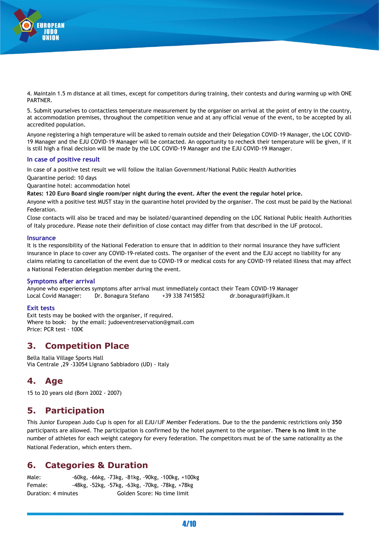

4. Maintain 1.5 m distance at all times, except for competitors during training, their contests and during warming up with ONE PARTNER.

5. Submit yourselves to contactless temperature measurement by the organiser on arrival at the point of entry in the country, at accommodation premises, throughout the competition venue and at any official venue of the event, to be accepted by all accredited population.

Anyone registering a high temperature will be asked to remain outside and their Delegation COVID-19 Manager, the LOC COVID-19 Manager and the EJU COVID-19 Manager will be contacted. An opportunity to recheck their temperature will be given, if it is still high a final decision will be made by the LOC COVID-19 Manager and the EJU COVID-19 Manager.

#### **In case of positive result**

In case of a positive test result we will follow the Italian Government/National Public Health Authorities

Quarantine period: 10 days

Quarantine hotel: accommodation hotel

**Rates: 120 Euro Board single room/per night during the event. After the event the regular hotel price.**

Anyone with a positive test MUST stay in the quarantine hotel provided by the organiser. The cost must be paid by the National Federation.

Close contacts will also be traced and may be isolated/quarantined depending on the LOC National Public Health Authorities of Italy procedure. Please note their definition of close contact may differ from that described in the IJF protocol.

#### **Insurance**

It is the responsibility of the National Federation to ensure that in addition to their normal insurance they have sufficient insurance in place to cover any COVID-19-related costs. The organiser of the event and the EJU accept no liability for any claims relating to cancellation of the event due to COVID-19 or medical costs for any COVID-19 related illness that may affect a National Federation delegation member during the event.

#### **Symptoms after arrival**

Anyone who experiences symptoms after arrival must immediately contact their Team COVID-19 Manager Local Covid Manager: Dr. Bonagura Stefano +39 338 7415852 dr.bonagura@fijlkam.it

#### **Exit tests**

Exit tests may be booked with the organiser, if required. Where to book: by the email: judoeventreservation@gmail.com Price: PCR test - 100€

## **3. Competition Place**

Bella Italia Village Sports Hall Via Centrale ,29 -33054 Lignano Sabbiadoro (UD) - Italy

## **4. Age**

15 to 20 years old (Born 2002 - 2007)

## **5. Participation**

This Junior European Judo Cup is open for all EJU/IJF Member Federations. Due to the the pandemic restrictions only **350**  participants are allowed. The participation is confirmed by the hotel payment to the organiser. **There is no limit** in the number of athletes for each weight category for every federation. The competitors must be of the same nationality as the National Federation, which enters them.

## **6. Categories & Duration**

Male: -60kg, -66kg, -73kg, -81kg, -90kg, -100kg, +100kg Female: -48kg, -52kg, -57kg, -63kg, -70kg, -78kg, +78kg Duration: 4 minutes Golden Score: No time limit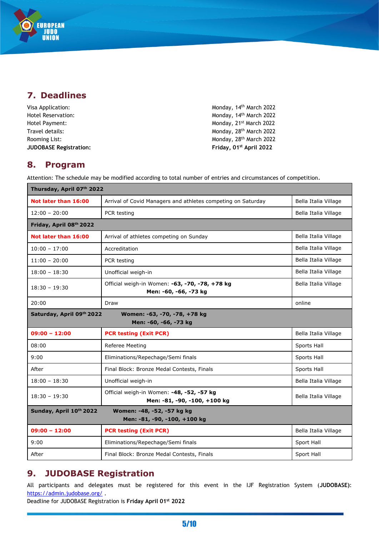## **7. Deadlines**

EUROPEAN<br>| JUDO<br>| UNION

| Visa Application:             | Monday, 14 <sup>th</sup> March 2022 |
|-------------------------------|-------------------------------------|
| Hotel Reservation:            | Monday, 14 <sup>th</sup> March 2022 |
| Hotel Payment:                | Monday, 21 <sup>st</sup> March 2022 |
| Travel details:               | Monday, 28 <sup>th</sup> March 2022 |
| Rooming List:                 | Monday, 28 <sup>th</sup> March 2022 |
| <b>JUDOBASE Registration:</b> | Friday, 01 <sup>st</sup> April 2022 |

#### **8. Program**

Attention: The schedule may be modified according to total number of entries and circumstances of competition.

| Thursday, April 07th 2022                                                             |                                                                           |                      |
|---------------------------------------------------------------------------------------|---------------------------------------------------------------------------|----------------------|
| Not later than 16:00                                                                  | Arrival of Covid Managers and athletes competing on Saturday              | Bella Italia Village |
| $12:00 - 20:00$                                                                       | PCR testing                                                               | Bella Italia Village |
| Friday, April 08th 2022                                                               |                                                                           |                      |
| Not later than 16:00                                                                  | Arrival of athletes competing on Sunday                                   | Bella Italia Village |
| $10:00 - 17:00$                                                                       | Accreditation                                                             | Bella Italia Village |
| $11:00 - 20:00$                                                                       | PCR testing                                                               | Bella Italia Village |
| $18:00 - 18:30$                                                                       | Unofficial weigh-in                                                       | Bella Italia Village |
| $18:30 - 19:30$                                                                       | Official weigh-in Women: -63, -70, -78, +78 kg<br>Men: -60, -66, -73 kg   | Bella Italia Village |
| 20:00                                                                                 | Draw                                                                      | online               |
| Saturday, April 09th 2022                                                             | Women: -63, -70, -78, +78 kg<br>Men: -60, -66, -73 kg                     |                      |
| $09:00 - 12:00$                                                                       | <b>PCR testing (Exit PCR)</b>                                             | Bella Italia Village |
| 08:00                                                                                 | Referee Meeting                                                           | Sports Hall          |
| 9:00                                                                                  | Eliminations/Repechage/Semi finals                                        | Sports Hall          |
| After                                                                                 | Final Block: Bronze Medal Contests, Finals                                | Sports Hall          |
| $18:00 - 18:30$                                                                       | Unofficial weigh-in                                                       | Bella Italia Village |
| $18:30 - 19:30$                                                                       | Official weigh-in Women: -48, -52, -57 kg<br>Men: -81, -90, -100, +100 kg | Bella Italia Village |
| Sunday, April 10th 2022<br>Women: -48, -52, -57 kg kg<br>Men: -81, -90, -100, +100 kg |                                                                           |                      |
| $09:00 - 12:00$                                                                       | <b>PCR testing (Exit PCR)</b>                                             | Bella Italia Village |
| 9:00                                                                                  | Eliminations/Repechage/Semi finals                                        | Sport Hall           |
| After                                                                                 | Final Block: Bronze Medal Contests, Finals                                | Sport Hall           |

## **9. JUDOBASE Registration**

All participants and delegates must be registered for this event in the IJF Registration System (**JUDOBASE)**: <https://admin.judobase.org/>.

Deadline for JUDOBASE Registration is **Friday April 01 st 2022**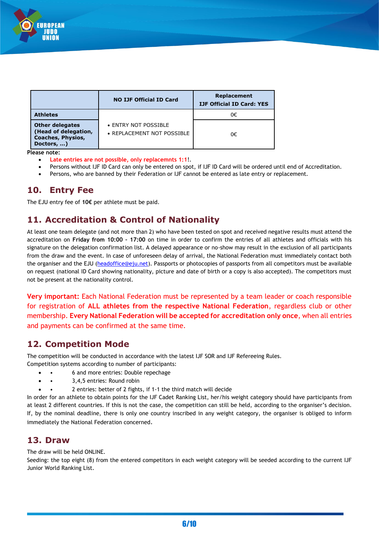

|                                                                                          | <b>NO IJF Official ID Card</b>                     | Replacement<br><b>IJF Official ID Card: YES</b> |
|------------------------------------------------------------------------------------------|----------------------------------------------------|-------------------------------------------------|
| <b>Athletes</b>                                                                          |                                                    | 0€                                              |
| <b>Other delegates</b><br>(Head of delegation,<br><b>Coaches, Physios,</b><br>Doctors, ) | • ENTRY NOT POSSIBLE<br>• REPLACEMENT NOT POSSIBLE | 0€                                              |

**Please note:**

- **Late entries are not possible, only replacemnts 1:1**!.
- Persons without IJF ID Card can only be entered on spot, if IJF ID Card will be ordered until end of Accreditation.
- Persons, who are banned by their Federation or IJF cannot be entered as late entry or replacement.

## **10. Entry Fee**

The EJU entry fee of **10€** per athlete must be paid.

## **11. Accreditation & Control of Nationality**

At least one team delegate (and not more than 2) who have been tested on spot and received negative results must attend the accreditation on **Friday from 10:00 – 17:00** on time in order to confirm the entries of all athletes and officials with his signature on the delegation confirmation list. A delayed appearance or no-show may result in the exclusion of all participants from the draw and the event. In case of unforeseen delay of arrival, the National Federation must immediately contact both the organiser and the EJU [\(headoffice@eju.net\)](mailto:headoffice@eju.net). Passports or photocopies of passports from all competitors must be available on request (national ID Card showing nationality, picture and date of birth or a copy is also accepted). The competitors must not be present at the nationality control.

**Very important:** Each National Federation must be represented by a team leader or coach responsible for registration of **ALL athletes from the respective National Federation**, regardless club or other membership. **Every National Federation will be accepted for accreditation only once**, when all entries and payments can be confirmed at the same time.

## **12. Competition Mode**

The competition will be conducted in accordance with the latest IJF SOR and IJF Refereeing Rules. Competition systems according to number of participants:

- • 6 and more entries: Double repechage
- • 3,4,5 entries: Round robin
- • 2 entries: better of 2 fights, if 1-1 the third match will decide

In order for an athlete to obtain points for the IJF Cadet Ranking List, her/his weight category should have participants from at least 2 different countries. If this is not the case, the competition can still be held, according to the organiser's decision. If, by the nominal deadline, there is only one country inscribed in any weight category, the organiser is obliged to inform immediately the National Federation concerned.

#### **13. Draw**

The draw will be held ONLINE.

Seeding: the top eight (8) from the entered competitors in each weight category will be seeded according to the current IJF Junior World Ranking List.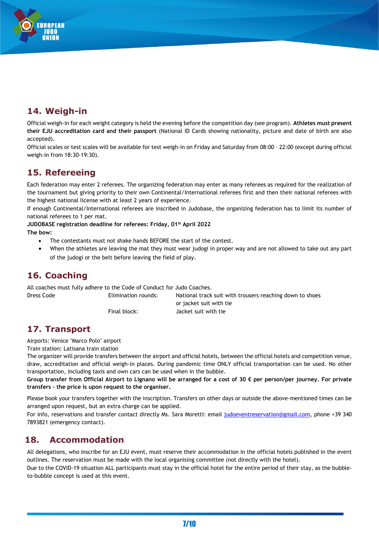## **14. Weigh-in**

UROPEAN **THEO** 

Official weigh-in for each weight category is held the evening before the competition day (see program). **Athletes must present their EJU accreditation card and their passport** (National ID Cards showing nationality, picture and date of birth are also accepted).

Official scales or test scales will be available for test weigh-in on Friday and Saturday from 08:00 – 22:00 (except during official weigh-in from 18:30-19:30).

## **15. Refereeing**

Each federation may enter 2 referees. The organizing federation may enter as many referees as required for the realization of the tournament but giving priority to their own Continental/International referees first and then their national referees with the highest national license with at least 2 years of experience.

If enough Continental/International referees are inscribed in Judobase, the organizing federation has to limit its number of national referees to 1 per mat.

**JUDOBASE registration deadline for referees: Friday, 01 st April 2022 The bow:**

- The contestants must not shake hands BEFORE the start of the contest.
- When the athletes are leaving the mat they must wear judogi in proper way and are not allowed to take out any part of the judogi or the belt before leaving the field of play.

## **16. Coaching**

All coaches must fully adhere to the Code of Conduct for Judo Coaches.

Dress Code Elimination rounds: National track suit with trousers reaching down to shoes or jacket suit with tie Final block: Jacket suit with tie

## **17. Transport**

Airports: Venice "Marco Polo" airport

Train station: Latisana train station

The organizer will provide transfers between the airport and official hotels, between the official hotels and competition venue, draw, accreditation and official weigh-in places. During pandemic time ONLY official transportation can be used. No other transportation, including taxis and own cars can be used when in the bubble.

**Group transfer from Official Airport to Lignano will be arranged for a cost of 30 € per person/per journey. For private transfers – the price is upon request to the organiser.**

Please book your transfers together with the inscription. Transfers on other days or outside the above-mentioned times can be arranged upon request, but an extra charge can be applied.

For info, reservations and transfer contact directly Ms. Sara Moretti: email [judoeventreservation@gmail.com,](mailto:judoeventreservation@gmail.com) phone +39 340 7893821 (emergency contact).

## **18. Accommodation**

All delegations, who inscribe for an EJU event, must reserve their accommodation in the official hotels published in the event outlines. The reservation must be made with the local organising committee (not directly with the hotel).

Due to the COVID-19 situation ALL participants must stay in the official hotel for the entire period of their stay, as the bubbleto-bubble concept is used at this event.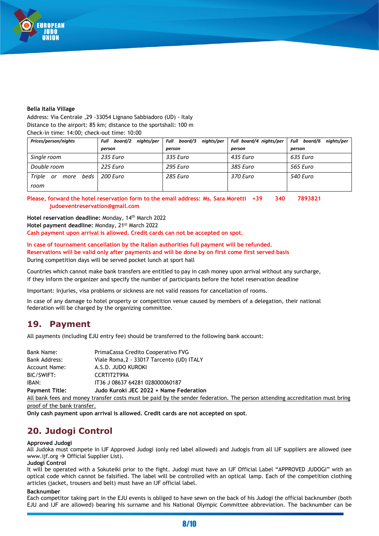

#### **Bella Italia Village**

Address: Via Centrale ,29 -33054 Lignano Sabbiadoro (UD) - Italy Distance to the airport: 85 km; distance to the sportshall: 100 m Check-in time: 14:00; check-out time: 10:00

| Prices/person/nights                 | nights/per<br>board/2<br>Full | Full board/3 nights/per | Full board/4 nights/per | Full board/6<br>nights/per |
|--------------------------------------|-------------------------------|-------------------------|-------------------------|----------------------------|
|                                      | person                        | person                  | person                  | person                     |
| Single room                          | 235 Euro                      | 335 Euro                | 435 Euro                | 635 Euro                   |
| Double room                          | 225 Euro                      | 295 Euro                | 385 Euro                | 565 Euro                   |
| Triple<br>beds<br>or<br>more<br>room | 200 Euro                      | 285 Euro                | 370 Euro                | 540 Euro                   |

**Please, forward the hotel reservation form to the email address: Ms. Sara Moretti +39 340 7893821 judoeventreservation@gmail.com**

**Hotel reservation deadline:** Monday, 14th March 2022 Hotel payment deadline: Monday, 21<sup>st</sup> March 2022 **Cash payment upon arrival is allowed. Credit cards can not be accepted on spot.**

**In case of tournament cancellation by the Italian authorities full payment will be refunded**. **Reservations will be valid only after payments and will be done by on first come first served basis** During competition days will be served pocket lunch at sport hall

Countries which cannot make bank transfers are entitled to pay in cash money upon arrival without any surcharge, if they inform the organizer and specify the number of participants before the hotel reservation deadline

Important: Injuries, visa problems or sickness are not valid reasons for cancellation of rooms.

In case of any damage to hotel property or competition venue caused by members of a delegation, their national federation will be charged by the organizing committee.

## **19. Payment**

All payments (including EJU entry fee) should be transferred to the following bank account:

| Bank Name:            | PrimaCassa Credito Cooperativo FVG                                                                                          |
|-----------------------|-----------------------------------------------------------------------------------------------------------------------------|
| <b>Bank Address:</b>  | Viale Roma, 2 - 33017 Tarcento (UD) ITALY                                                                                   |
| <b>Account Name:</b>  | A.S.D. JUDO KUROKI                                                                                                          |
| BIC/SWIFT:            | CCRTIT2T99A                                                                                                                 |
| IBAN:                 | IT36 J 08637 64281 028000060187                                                                                             |
| <b>Payment Title:</b> | Judo Kuroki JEC 2022 + Name Federation                                                                                      |
|                       | All bank fees and money transfer costs must be paid by the sender federation. The person attending accreditation must bring |
|                       |                                                                                                                             |

proof of the bank transfer.

**Only cash payment upon arrival is allowed. Credit cards are not accepted on spot**.

## **20. Judogi Control**

#### **Approved Judogi**

All Judoka must compete in IJF Approved Judogi (only red label allowed) and Judogis from all IJF suppliers are allowed (see www.ijf.org → Official Supplier List).

#### **Judogi Control**

It will be operated with a Sokuteiki prior to the fight. Judogi must have an IJF Official Label "APPROVED JUDOGI" with an optical code which cannot be falsified. The label will be controlled with an optical lamp. Each of the competition clothing articles (jacket, trousers and belt) must have an IJF official label.

#### **Backnumber**

Each competitor taking part in the EJU events is obliged to have sewn on the back of his Judogi the official backnumber (both EJU and IJF are allowed) bearing his surname and his National Olympic Committee abbreviation. The backnumber can be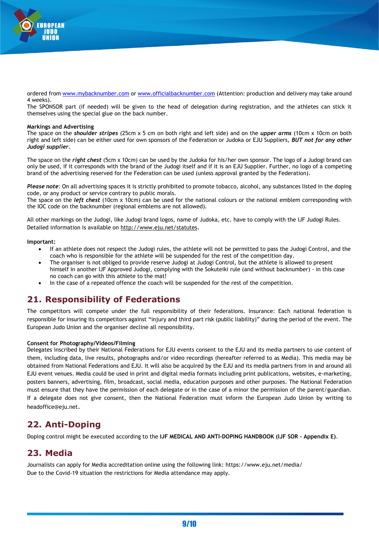

ordered from [www.mybacknumber.com](http://www.mybacknumber.com/) or [www.officialbacknumber.com](http://www.officialbacknumber.com/) (Attention: production and delivery may take around 4 weeks).

The SPONSOR part (if needed) will be given to the head of delegation during registration, and the athletes can stick it themselves using the special glue on the back number.

#### **Markings and Advertising**

The space on the *shoulder stripes* (25cm x 5 cm on both right and left side) and on the *upper arms* (10cm x 10cm on both right and left side) can be either used for own sponsors of the Federation or Judoka or EJU Suppliers, *BUT not for any other Judogi supplier*.

The space on the *right chest* (5cm x 10cm) can be used by the Judoka for his/her own sponsor. The logo of a Judogi brand can only be used, if it corresponds with the brand of the Judogi itself and if it is an EJU Supplier. Further, no logo of a competing brand of the advertising reserved for the Federation can be used (unless approval granted by the Federation).

*Please note*: On all advertising spaces it is strictly prohibited to promote tobacco, alcohol, any substances listed in the doping code, or any product or service contrary to public morals.

The space on the *left chest* (10cm x 10cm) can be used for the national colours or the national emblem corresponding with the IOC code on the backnumber (regional emblems are not allowed).

All other markings on the Judogi, like Judogi brand logos, name of Judoka, etc. have to comply with the IJF Judogi Rules. Detailed information is available on<http://www.eju.net/statutes>.

#### **Important:**

- If an athlete does not respect the Judogi rules, the athlete will not be permitted to pass the Judogi Control, and the coach who is responsible for the athlete will be suspended for the rest of the competition day.
- The organiser is not obliged to provide reserve Judogi at Judogi Control, but the athlete is allowed to present himself in another IJF Approved Judogi, complying with the Sokuteiki rule (and without backnumber) - in this case no coach can go with this athlete to the mat!
- In the case of a repeated offence the coach will be suspended for the rest of the competition.

## **21. Responsibility of Federations**

The competitors will compete under the full responsibility of their federations. Insurance: Each national federation is responsible for insuring its competitors against "injury and third part risk (public liability)" during the period of the event. The European Judo Union and the organiser decline all responsibility.

#### **Consent for Photography/Videos/Filming**

Delegates inscribed by their National Federations for EJU events consent to the EJU and its media partners to use content of them, including data, live results, photographs and/or video recordings (hereafter referred to as Media). This media may be obtained from National Federations and EJU. It will also be acquired by the EJU and its media partners from in and around all EJU event venues. Media could be used in print and digital media formats including print publications, websites, e-marketing, posters banners, advertising, film, broadcast, social media, education purposes and other purposes. The National Federation must ensure that they have the permission of each delegate or in the case of a minor the permission of the parent/guardian. If a delegate does not give consent, then the National Federation must inform the European Judo Union by writing to headoffice@eju.net.

## **22. Anti-Doping**

Doping control might be executed according to the **IJF MEDICAL AND ANTI-DOPING HANDBOOK (IJF SOR – Appendix E)**.

#### **23. Media**

Journalists can apply for Media accreditation online using the following link: https://www.eju.net/media/ Due to the Covid-19 situation the restrictions for Media attendance may apply.